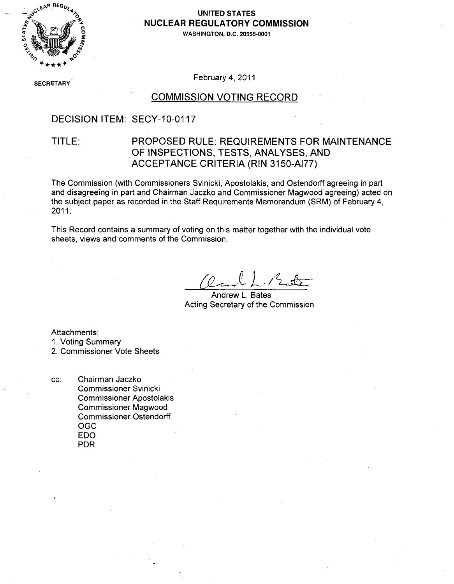

# NUCLEAR REGULATORY COMMISSION

**0 oWASHINGTON, D.C. 20555-0001**

SECRETARY' February 4, 2011

### COMMISSION VOTING RECORD

## DECISION ITEM: SECY-10-0117

## TITLE: PROPOSED RULE: REQUIREMENTS FOR MAINTENANCE OF INSPECTIONS, TESTS, ANALYSES, AND ACCEPTANCE CRITERIA (RIN 3150-AI77)

The Commission (with Commissioners Svinicki, Apostolakis, and Ostendorff agreeing in part and disagreeing in part and Chairman Jaczko and Commissioner Magwood agreeing) acted on the subject paper as recorded in the Staff Requirements Memorandum (SRM) of February 4, 2011.

This Record contains a summary of voting on this matter together with the individual vote sheets, views and comments of the Commission.

Andrew L. Bates Acting Secretary of the Commission

Attachments:

**1.** Voting Summary

2. Commissioner Vote Sheets

cc: Chairman Jaczko Commissioner Svinicki Commissioner Apostolakis Commissioner Magwood Commissioner Ostendorff **OGC** EDO PDR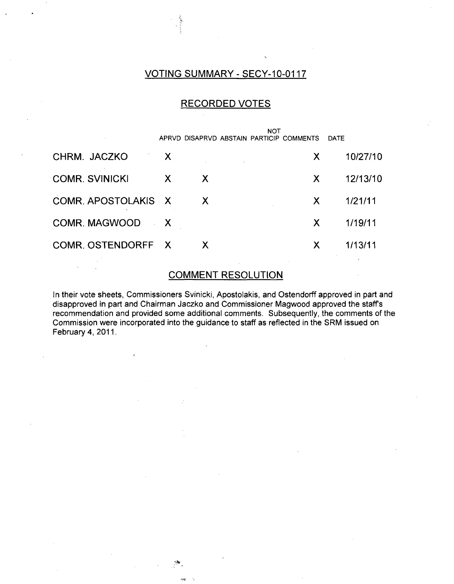## VOTING SUMMARY - SECY-10-0117

## RECORDED VOTES

|                       |   |    | APRVD DISAPRVD ABSTAIN PARTICIP COMMENTS | <b>NOT</b> | <b>DATE</b> |
|-----------------------|---|----|------------------------------------------|------------|-------------|
| CHRM. JACZKO          | X |    |                                          | X          | 10/27/10    |
| <b>COMR. SVINICKI</b> | X | X. |                                          | X          | 12/13/10    |
| COMR. APOSTOLAKIS X   |   | X  |                                          | X          | 1/21/11     |
| COMR. MAGWOOD X       |   |    |                                          | X.         | 1/19/11     |
| COMR. OSTENDORFF X    |   | X  |                                          | X          | 1/13/11     |
|                       |   |    |                                          |            |             |

## COMMENT RESOLUTION

In their vote sheets, Commissioners Svinicki, Apostolakis, and Ostendorff approved in part and disapproved in part and Chairman Jaczko and Commissioner Magwood approved the staffs recommendation and provided some additional comments. Subsequently, the comments of the Commission were incorporated into the guidance to staff as reflected in the SRM issued on February 4, 2011.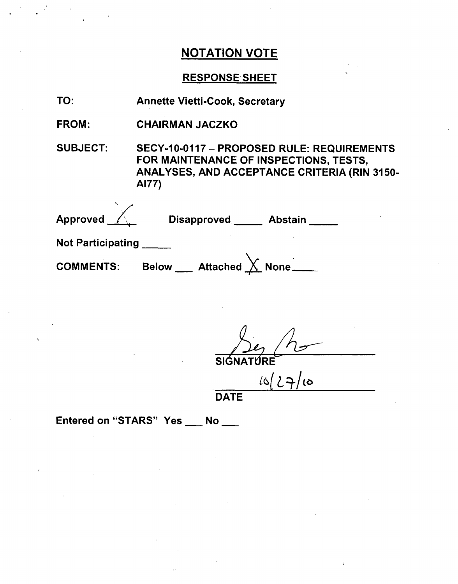## RESPONSE SHEET

| TO:                               | <b>Annette Vietti-Cook, Secretary</b>                                                                                                                       |
|-----------------------------------|-------------------------------------------------------------------------------------------------------------------------------------------------------------|
| <b>FROM:</b>                      | <b>CHAIRMAN JACZKO</b>                                                                                                                                      |
| <b>SUBJECT:</b>                   | SECY-10-0117 - PROPOSED RULE: REQUIREMENTS<br>FOR MAINTENANCE OF INSPECTIONS, TESTS,<br><b>ANALYSES, AND ACCEPTANCE CRITERIA (RIN 3150-</b><br><b>AI77)</b> |
| Approved $\overline{\mathscr{K}}$ | Disapproved _____ Abstain ____                                                                                                                              |
| <b>Not Participating</b>          |                                                                                                                                                             |
| <b>COMMENTS:</b>                  | Below ___ Attached $\overline{\bigtimes}$ None ____                                                                                                         |

SIGNATURE

 $10(27/10)$ 

**DATE**

Entered on "STARS" Yes \_\_ No \_\_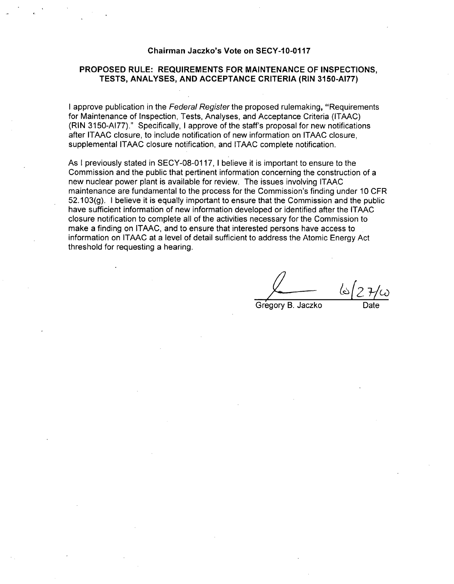#### Chairman Jaczko's Vote on **SECY-10-0117**

#### PROPOSED RULE: **REQUIREMENTS** FOR **MAINTENANCE** OF **INSPECTIONS, TESTS, ANALYSES, AND ACCEPTANCE** CRITERIA (RIN **3150-AI77)**

**I** approve publication in the *Federal Register* the proposed rulemaking, "Requirements for Maintenance of Inspection, Tests, Analyses, and Acceptance Criteria (ITAAC) (RIN 3150-AI77)." Specifically, I approve of the staff's proposal for new notifications after ITAAC closure, to include notification of new information on ITAAC closure, supplemental ITAAC closure notification, and ITAAC complete notification.

As I previously stated in SECY-08-0117, **I** believe it is important to ensure to the Commission and the public that pertinent information concerning the construction of a new nuclear power plant is available for review. The issues involving ITAAC maintenance are fundamental to the process for the Commission's finding under 10 CFR 52.103(g). I believe it is equally important to ensure that the Commission and the public have sufficient information of new information developed or identified after the ITAAC closure notification to complete all of the activities necessary for the Commission to make a finding on ITAAC, and to ensure that interested persons have access to information on ITAAC at a level of detail sufficient to address the Atomic Energy Act threshold for requesting a hearing.

Gregory B. Jaczko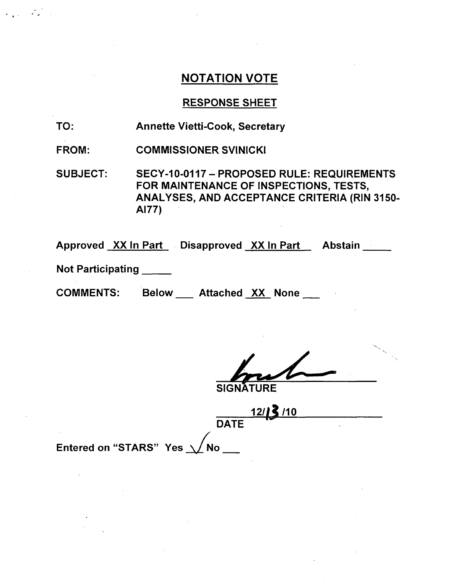## RESPONSE SHEET

- TO: Annette Vietti-Cook, Secretary
- FROM: COMMISSIONER SVINICKI

SUBJECT: SECY-10-0117 - PROPOSED RULE: REQUIREMENTS FOR MAINTENANCE OF INSPECTIONS, TESTS, ANALYSES, AND ACCEPTANCE CRITERIA (RIN 3150- **A177)**

Approved XX In Part Disapproved XX In Part Abstain

Not Participating

 $\mathbf{H}^{\text{eff}}_{\text{eff}}$ 

**COMMENTS:** Below Attached XX None

**12/13/10 DATE** 

Entered on "STARS" Yes  $\Delta/N$ o $\_$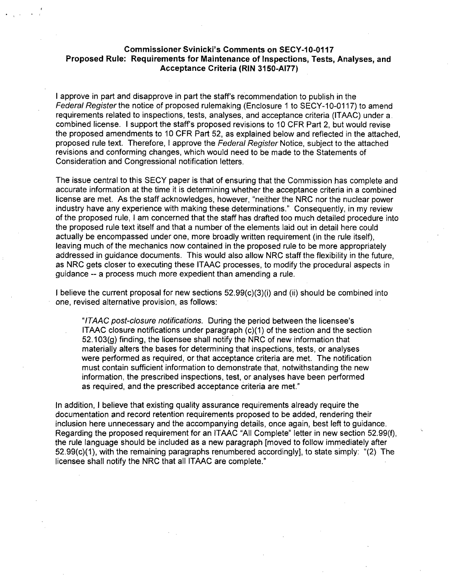#### Commissioner Svinicki's Comments on **SECY-1 0-0117** Proposed Rule: Requirements for Maintenance of Inspections, Tests, Analyses, and Acceptance Criteria (RIN **3150-AI77)**

I approve in part and disapprove in part the staff's recommendation to publish in the *Federal Register the* notice of proposed rulemaking (Enclosure **1** to SECY-10-0117) to amend requirements related to inspections, tests, analyses, and acceptance criteria (ITAAC) under a. combined license. I support the staff's proposed revisions to 10 CFR Part 2, but would revise the proposed amendments to 10 CFR Part 52, as explained below and reflected in the attached, proposed rule text. Therefore, I approve the *Federal Register* Notice, subject to the attached revisions and conforming changes, which would need to be made to the Statements of Consideration and Congressional notification letters.

The issue central to this SECY paper is that of ensuring that the Commission has complete and accurate information at the time it is determining whether the acceptance criteria in a combined license are met. As the staff acknowledges, however, "neither the NRC nor the nuclear power industry have any experience with making these determinations." Consequently, in my review of the proposed rule, I am concerned that the staff has drafted too much detailed procedure into the proposed rule text itself and that a number of the elements laid out in detail here could actually be encompassed under one, more broadly written requirement (in the rule itself), leaving much of the mechanics now contained in the proposed rule to be more appropriately addressed in guidance documents. This would also allow NRC staff the flexibility in the future, as NRC gets closer to executing these ITAAC processes, to modify the procedural aspects in guidance -- a process much more expedient than amending a rule.

I believe the current proposal for new sections  $52.99(c)(3)(i)$  and (ii) should be combined into one, revised alternative provision, as follows:

*"ITAAC post-closure notifications.* During the period between the licensee's ITAAC closure notifications under paragraph (c)(1) of the section and the section 52.103(g) finding, the licensee shall notify the NRC of new information that materially alters the bases for determining that inspections, tests, or analyses were performed as required, or that acceptance criteria are met. The notification must contain sufficient information to demonstrate that, notwithstanding the new information, the prescribed inspections, test, or analyses have been performed as required, and the prescribed acceptance criteria are met."

In addition, I believe that existing quality assurance requirements already require the documentation and record retention requirements proposed to be added, rendering their inclusion here unnecessary and the accompanying details, once again, best left to guidance. Regarding the proposed requirement for an ITAAC "All Complete" letter in new section 52.99(f), the rule language should be included as a new paragraph [moved to follow immediately after 52.99(c)(1), with the remaining paragraphs renumbered accordingly], to state simply: "(2) The licensee shall notify the NRC that all ITAAC are complete."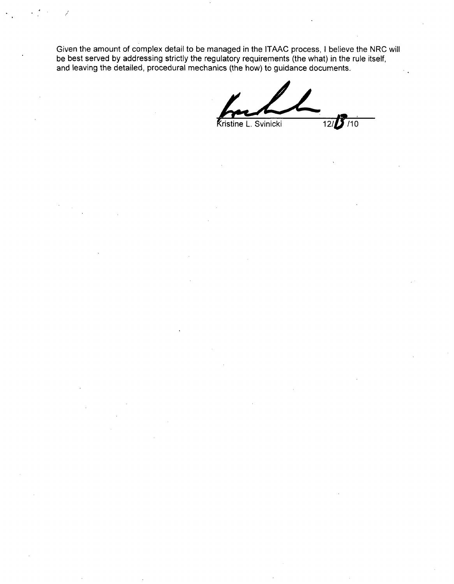Given the amount of complex detail to be managed in the ITAAC process, I believe the NRC will be best served by addressing strictly the regulatory requirements (the what) in the rule itself, and leaving the detailed, procedural mechanics (the how) to guidance documents.

**Kristine L. Svinicki** 12/110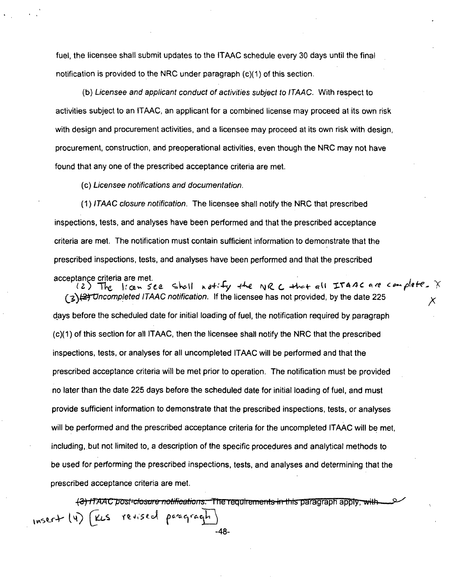fuel, the licensee shall submit updates to the ITAAC schedule every 30 days until the final notification is provided to the NRC under paragraph (c)(1) of this section.

(b) *Licensee and applicant conduct of activities subject to ITAAC.* With respect to activities subject to an ITAAC, an applicant for a combined license may proceed at its own risk with design and procurement activities, and a licensee may proceed at its own risk with design, procurement, construction, and preoperational activities, even though the NRC may not have found that any one of the prescribed acceptance criteria are met.

(c) *Licensee notifications and documentation.*

(1) *ITAAC closure notification.* The licensee shall notify the NRC that prescribed inspections, tests, and analyses have been performed and that the prescribed acceptance criteria are met. The notification must contain sufficient information to demonstrate that the prescribed inspections, tests, and analyses have been performed and that the prescribed

acceptance criteria are met.<br>(2) The licen see shall notify the NRC that all ITAAC are complete. X *(3)* $\left(\frac{2}{3}\right)$  Uncompleted ITAAC notification. If the licensee has not provided, by the date 225 days before the scheduled date for initial loading of fuel, the notification required by paragraph (c)(1) of this section for all ITAAC, then the licensee shall notify the NRC that the prescribed inspections, tests, or analyses for all uncompleted ITAAC will be performed and that the prescribed acceptance criteria will be met prior to operation. The notification must be provided no later than the date 225 days before the scheduled date for initial loading of fuel, and must provide sufficient information to demonstrate that the prescribed inspections, tests, or analyses will be performed and the prescribed acceptance criteria for the uncompleted ITAAC will be met, including, but not limited to, a description of the specific procedures and analytical methods to be used for performing the prescribed inspections, tests, and analyses and determining that the prescribed acceptance criteria are met.

(3) ITAAC post-closure notifications. The requirements in this paragraph apply, with $inser+(4)$ paragragh ا لانك revised -48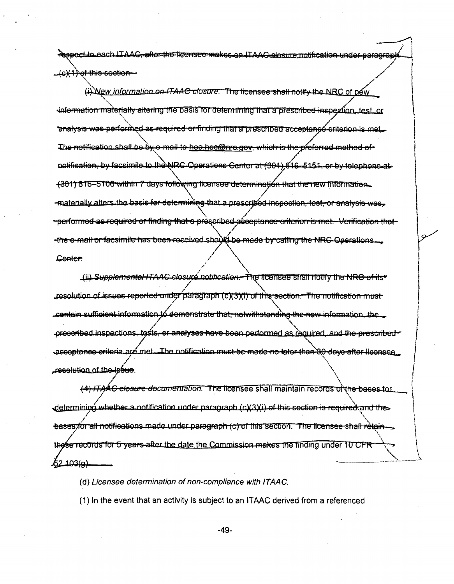Repect to each LTAAC, after the fleensee makes an LTAAC elesure notificat

e)<del>(1) of this section<br>(i) Wew *information on ITAAC closure*: "The licensee shall notify the NRC of pew</del> information materially altering the basis for determining that a prescribed inspection, test, or **\*malysis-was-performed-as-required or finding that a prescribed acceptance criterion is met.**  $\frac{1}{2}$  The notification shall be by e-mail to hee hoc @nre gov, which is the preferred method of notification, by facsimile to the NRC Operations Center at (301) 816-5151, or by telephone at  $+301$ ) 816-5100 within 7 days following licensee determination that the new information. **.- ntat5rinivnh i** ar **t** hn"~ **\_h2GCJ'** Aiipm-ra tht **nroc't J A -.--... <sup>1</sup>** -; **<sup>A</sup>** V • [ example anticipation, tool, or amaryond was <del>reauired or findina that a pré</del>scribed aéee the e-mail or facsimile has been received should be made by calling the NRC Operations.... Center:

Lii) Supplemental ITAAC closure notification. The licensee shall notify the NRC of its" **Jesolution of issues reported under paragraph (c)(3)(1) of this section. The notification must** contain sufficient information to demonstrate that, notwithstanding the new information, the prescribed inspections, tests, or analyses have been performed as required, and the prescribed aceeptanee eriteria are met. The notification must be made no later than 80 days after licensee resolution of the issue.

*(4) ITAAC closure documentation.* The licensee shall maintain records of the bases for determining whether a notification under paragraph (c)(3)(i) of this sostion is required and the bases for all notifications made under paragraph (c) of this section. The licensee shall retain-, and the m-so that is defined by  $\mathcal{N}$  , we have the most under  $\mathcal{N}$ 52.103(g).

*(d) Licensee determination of non-compliance with ITAAC.*

 $(1)$  In the event that an activity is subject to an ITAAC derived from a referenced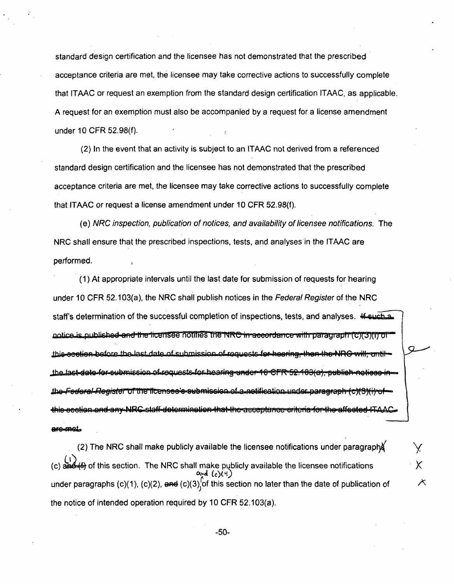standard design certification and the licensee has not demonstrated that the prescribed acceptance criteria are met, the licensee may take corrective actions to successfully complete that ITAAC or request an exemption from the standard design certification ITAAC, as applicable. A request for an exemption must also be accompanied by a request for a license amendment under 10 CFR 52.98(f).

(2) In the event that an activity is subject to an ITAAC not derived from a referenced standard design certification and the licensee has not demonstrated that the prescribed acceptance criteria are met, the licensee may take corrective actions to successfully complete that ITAAC or request a license amendment under 10 CFR 52.98(f).

(e) *NRC inspection, publication of notices, and availability of licensee notifications.* The NRC shall ensure that the prescribed inspections, tests, and analyses in the ITAAC are performed.

(1) At appropriate intervals until the last date for submission of requests for hearing under 10 CFR 52.103(a), the NRC shall publish notices in the *Federal Register* of the NRC staff's determination of the successful completion of inspections, tests, and analyses. <del>If such a</del> notice is published and the ficensee notifies the NRC in accordance with paragraph (C)(3)(i) of this-section-before the last date of submission-of-requests-for-hearing-then-the-NRG will, antithe last date for submission of requests for hearing under 10 CFR 52.103(a), publich notices in <u>the–Fodoral-Register of the ficensee's submission of a notification under paragraph (c)(</u> this ecction and any NRC staff determination that the acceptance criteria for the affected IT are met.

(2) The NRC shall make publicly available the licensee notifications under paragraplX (c)  $\frac{\partial^2 f}{\partial x^2}$  of this section. The NRC shall make publicly available the licensee notifications and (c)(4) under paragraphs (c)(1), (c)(2),  $\theta$ nd (c)(3), of this section no later than the date of publication of  $\mathcal{A}$ the notice of intended operation required by 10 CFR 52.103(a).

X.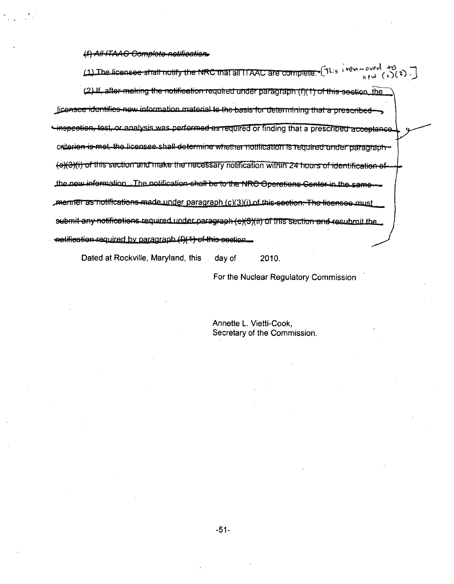$(4)$  All-ITAAG Complete netifieation.

*(1)* The licensee shall notify the NRC that all ITAAC are complete.  $\int_0^{\pi}$   $\int_0^{\pi}$   $\int_0^{\pi}$   $\int_0^{\pi}$  (c)(c), (2) If, after making the notification required under paragraph (f)(1) of this section, the liconsee identifies now information material to the basis for determining that a prescribedinspection, test, or analysis was performed as required or finding that a prescribed acceptance. ~Jt~ren ; metth raird'nake theall d3O 1 siiar vh'Mit ic in wiamui in g~~ iu~ aawl the new information. The notification shall be to the NRC Operations Center in the same commer as notifications made under paragraph (c)(3)(i) of this section. The licenses must submit any notifications required under paragraph (e)(3)(ii) of this section and resubmit the netification-required by paragraph (f)(4) of this section.

Dated at Rockville, Maryland, this day of 2010.

For the Nuclear Regulatory Commission

Annette L. Vietti-Cook, Secretary of the Commission.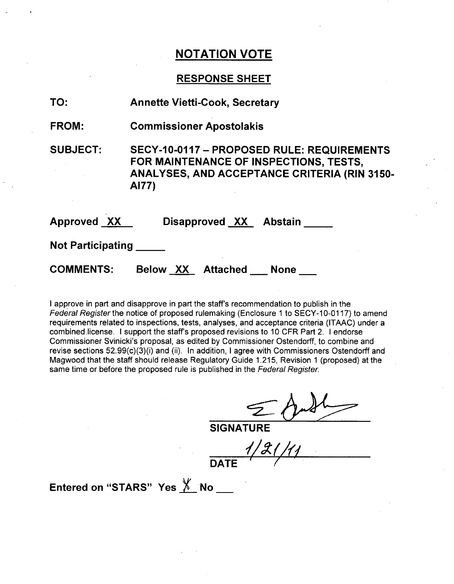## **RESPONSE SHEET**

| TO:                      | <b>Annette Vietti-Cook, Secretary</b>                                                                                                                |
|--------------------------|------------------------------------------------------------------------------------------------------------------------------------------------------|
| <b>FROM:</b>             | <b>Commissioner Apostolakis</b>                                                                                                                      |
| <b>SUBJECT:</b>          | SECY-10-0117 - PROPOSED RULE: REQUIREMENTS<br>FOR MAINTENANCE OF INSPECTIONS, TESTS,<br><b>ANALYSES, AND ACCEPTANCE CRITERIA (RIN 3150-</b><br>AI77) |
| <b>Approved XX</b>       | Disapproved XX Abstain                                                                                                                               |
| <b>Not Participating</b> |                                                                                                                                                      |
| <b>COMMENTS:</b>         | Below XX Attached None                                                                                                                               |

I approve in part and disapprove in part the staff's recommendation to publish in the *Federal Register* the notice of proposed rulemaking (Enclosure 1 to SECY-10-0117) to amend requirements related to inspections, tests, analyses, and acceptance criteria (ITAAC) under a combined.license. I support the staff's proposed revisions to 10 CFR Part 2. I endorse Commissioner Svinicki's proposal, as edited by Commissioner Ostendorff, to combine and revise sections 52.99(c)(3)(i) and (ii). In addition, I agree with Commissioners Ostendorff and Magwood that the staff should release Regulatory Guide 1.215, Revision 1 (proposed) at the same time or before the proposed rule is published in the *Federal Register.*

 $\mathcal{I}$ 

**SIGNATURE** 

*ý//g* ( **DATEr**

Entered on "STARS" Yes X No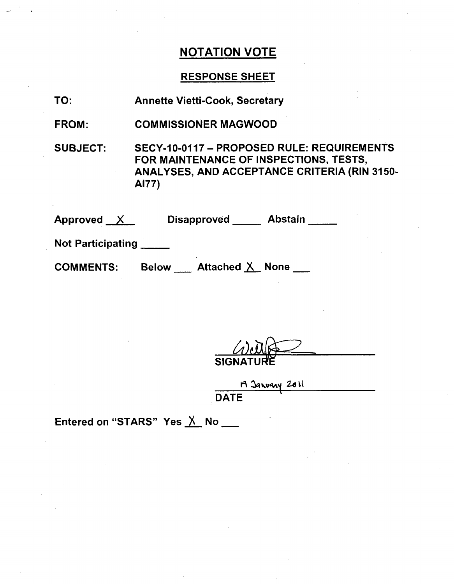## RESPONSE SHEET

| TO: | <b>Annette Vietti-Cook, Secretary</b> |
|-----|---------------------------------------|
|-----|---------------------------------------|

FROM: COMMISSIONER MAGWOOD

SUBJECT: SECY-10-0117 - PROPOSED RULE: REQUIREMENTS FOR MAINTENANCE OF INSPECTIONS, TESTS, ANALYSES, AND ACCEPTANCE CRITERIA (RIN 3150- **A177)**

Approved  $X$ Disapproved Abstain

Not Participating

**COMMENTS:** 

Below \_\_\_ Attached X\_None \_\_

SIGI

19 Janvary 2011 **DATE** 

Entered on "STARS" Yes  $X$  No $\blacksquare$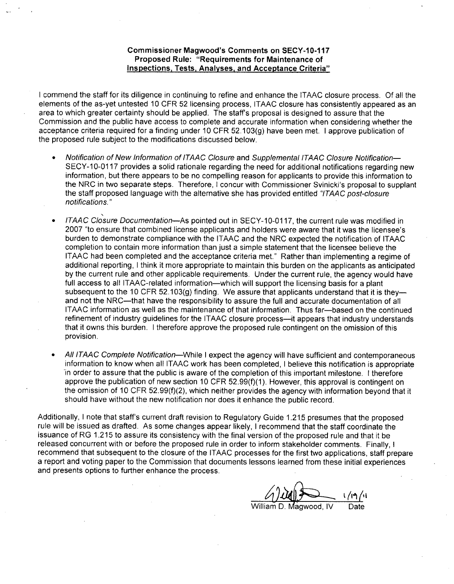#### Commissioner Magwood's Comments on **SECY-10-117** Proposed Rule: "Requirements for Maintenance **of** Inspections, Tests, Analyses, and Acceptance Criteria"

I commend the staff for its diligence in continuing to refine and enhance the ITAAC closure process. Of all the elements of the as-yet untested 10 CFR 52 licensing process, ITAAC closure has consistently appeared as an area to which greater certainty should be applied. The staff's proposal is designed to assure that the Commission and the public have access to complete and accurate information when considering whether the acceptance criteria required for a finding under 10 CFR 52.103(g) have been met. I approve publication of the proposed rule subject to the modifications discussed below.

- \* *Notification of New Information of ITAAC Closure* and *Supplemental ITAAC Closure Notification-***SECY-10-01** 17 provides a solid rationale regarding the need for additional notifications regarding new information, but there appears to be no compelling reason for applicants to provide this information to the NRC in two separate steps. Therefore, I concur with Commissioner Svinicki's proposal to supplant the staff proposed language with the alternative she has provided entitled *"ITAAC post-closure notifications."*
- \* *ITAAC Closure Documentation*—As pointed out in SECY-10-0117, the current rule was modified in 2007 "to ensure that combined license applicants and holders were aware that it was the licensee's burden to demonstrate compliance with the ITAAC and the NRC expected the notification of ITAAC completion to contain more information than just a simple statement that the licensee believe the ITAAC had been completed and the acceptance criteria met." Rather than implementing a regime of additional reporting, I think it more appropriate to maintain this burden on the applicants as anticipated by the current rule and other applicable requirements. Under the current rule, the agency would have full access to all ITAAC-related information-which will support the licensing basis for a plant subsequent to the 10 CFR 52.103(g) finding. We assure that applicants understand that it is theyand not the NRC-that have the responsibility to assure the full and accurate documentation of all ITAAC information as well as the maintenance of that information. Thus far-based on the continued refinement of industry guidelines for the ITAAC closure process--it appears that industry understands that it owns this burden. I therefore approve the proposed rule contingent on the omission of this provision.
- **"** *All ITAAC Complete Notification-While* I expect the agency will have sufficient and contemporaneous information to know when all ITAAC work has been completed, I believe this notification is appropriate 'in order to assure that the public is aware of the completion of this important milestone. I therefore approve the publication of new section 10 CFR 52.99(f)(1). However, this approval is contingent on the omission of 10 CFR 52.99(f)(2), which neither provides the agency with information beyond that it should have without the new notification nor does it enhance the public record.

Additionally, I note that staff's current draft revision to Regulatory Guide 1.21.5 presumes that the proposed rule will be issued as drafted. As some changes appear likely, I recommend that the staff coordinate the issuance of RG 1.215 to assure its consistency with the final version of the proposed rule and that it be released concurrent with or before the proposed rule in order to inform stakeholder comments. Finally, I recommend that subsequent to the closure of the ITAAC processes for the first two applications, staff prepare a report and voting paper to the Commission that documents lessons learned from these initial experiences and presents options to further enhance the process.

William D. Magwood, IV Date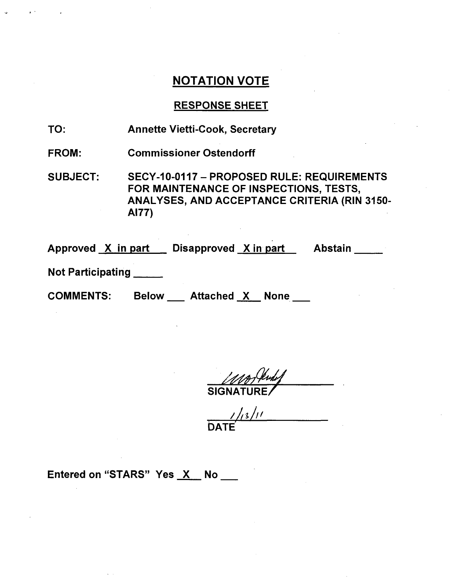## RESPONSE SHEET

TO: Annette Vietti-Cook, Secretary

FROM: Commissioner Ostendorff

SUBJECT: SECY-10-0117 - PROPOSED RULE: REQUIREMENTS FOR MAINTENANCE OF INSPECTIONS, TESTS, ANALYSES, AND ACCEPTANCE CRITERIA (RIN 3150- **A177)**

Approved <u>X in part Disapproved X in part Abstair</u>

Not Participating

COMMENTS: Below Attached X None

**SIGNATURE** 

**bATE'**

Entered on "STARS" Yes X No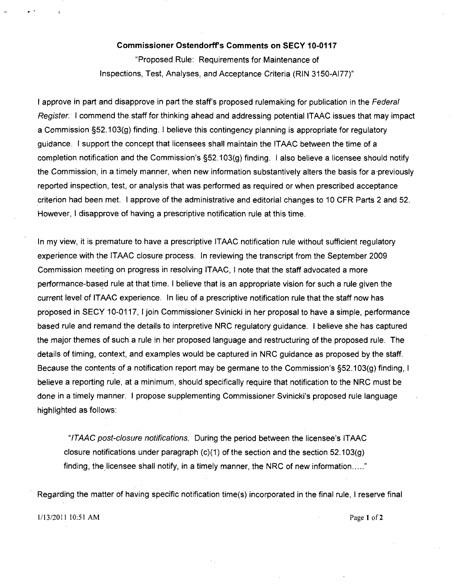#### Commissioner Ostendorff's Comments on **SECY 10-0117**

"Proposed Rule: Requirements for Maintenance of Inspections, Test, Analyses, and Acceptance Criteria (RIN 3150-A[77)"

I approve in part and disapprove in part the staff's proposed rulemaking for publication in the *Federal Register.* I commend the staff for thinking ahead and addressing potential ITAAC issues that may impact a Commission §52.103(g) finding. I believe this contingency planning is appropriate for regulatory guidance. I support the concept that licensees shall maintain the ITAAC between the time of a completion notification and the Commission's §52.103(g) finding. I also believe a licensee should notify the Commission, in a timely manner, when new information substantively alters the basis for a-previously reported inspection, test, or analysis that was performed as required or when prescribed acceptance criterion had been met. I approve of the administrative and editorial changes to 10 CFR Parts 2 and 52. However, I disapprove of having a prescriptive notification rule at this time.

In my view, it is premature to have a prescriptive ITAAC notification rule without sufficient regulatory experience with the ITAAC closure process. In reviewing the transcript from the September 2009 Commission meeting on progress in resolving ITAAC, I note that the staff advocated a more performance-based rule at that time. I believe that is an appropriate vision for such a rule given the current level of ITAAC experience. In lieu of a prescriptive notification rule that the staff now has proposed in SECY 10-0117, I join Commissioner Svinicki in her proposal to have a simple, performance based rule and remand the details to interpretive NRC regulatory guidance. I believe she has captured the major themes of such a rule in her proposed language and restructuring of the proposed rule. The details of timing, context, and examples would be captured in NRC guidance as proposed by the staff. Because the contents of a notification report may be germane to the Commission's §52.103(g) finding, I believe a reporting rule, at a minimum, should specifically require that notification to the NRC must be done in a timely manner. I propose supplementing Commissioner Svinicki's proposed rule language highlighted as follows:

*"ITAAC post-closure notifications.* During the period between the licensee's ITAAC closure notifications under paragraph  $(c)(1)$  of the section and the section 52.103(g) finding, the licensee shall notify, in a timely manner, the NRC of new information....."

Regarding the matter of having specific notification time(s) incorporated in the final rule, I reserve final

1/13/2011 10:51 AM Page **I** of 2